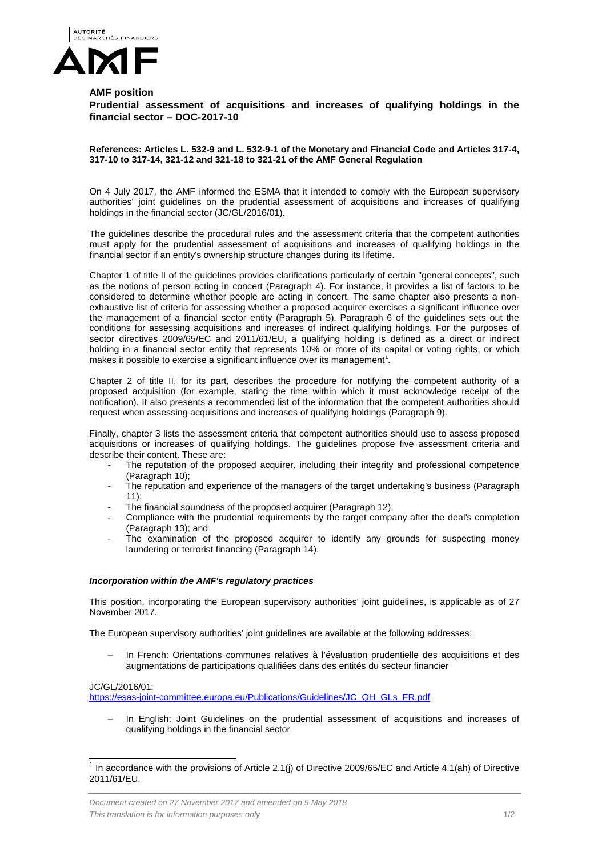

## **AMF position**

**Prudential assessment of acquisitions and increases of qualifying holdings in the financial sector – DOC-2017-10**

**References: Articles L. 532-9 and L. 532-9-1 of the Monetary and Financial Code and Articles 317-4, 317-10 to 317-14, 321-12 and 321-18 to 321-21 of the AMF General Regulation**

On 4 July 2017, the AMF informed the ESMA that it intended to comply with the European supervisory authorities' joint guidelines on the prudential assessment of acquisitions and increases of qualifying holdings in the financial sector (JC/GL/2016/01).

The guidelines describe the procedural rules and the assessment criteria that the competent authorities must apply for the prudential assessment of acquisitions and increases of qualifying holdings in the financial sector if an entity's ownership structure changes during its lifetime.

Chapter 1 of title II of the guidelines provides clarifications particularly of certain "general concepts", such as the notions of person acting in concert (Paragraph 4). For instance, it provides a list of factors to be considered to determine whether people are acting in concert. The same chapter also presents a nonexhaustive list of criteria for assessing whether a proposed acquirer exercises a significant influence over the management of a financial sector entity (Paragraph 5). Paragraph 6 of the guidelines sets out the conditions for assessing acquisitions and increases of indirect qualifying holdings. For the purposes of sector directives 2009/65/EC and 2011/61/EU, a qualifying holding is defined as a direct or indirect holding in a financial sector entity that represents 10% or more of its capital or voting rights, or which makes it possible to exercise a significant influence over its management<sup>[1](#page-0-0)</sup>.

Chapter 2 of title II, for its part, describes the procedure for notifying the competent authority of a proposed acquisition (for example, stating the time within which it must acknowledge receipt of the notification). It also presents a recommended list of the information that the competent authorities should request when assessing acquisitions and increases of qualifying holdings (Paragraph 9).

Finally, chapter 3 lists the assessment criteria that competent authorities should use to assess proposed acquisitions or increases of qualifying holdings. The guidelines propose five assessment criteria and describe their content. These are:

- The reputation of the proposed acquirer, including their integrity and professional competence (Paragraph 10);
- The reputation and experience of the managers of the target undertaking's business (Paragraph 11);
- The financial soundness of the proposed acquirer (Paragraph 12);
- Compliance with the prudential requirements by the target company after the deal's completion (Paragraph 13); and
- The examination of the proposed acquirer to identify any grounds for suspecting money laundering or terrorist financing (Paragraph 14).

## *Incorporation within the AMF's regulatory practices*

This position, incorporating the European supervisory authorities' joint guidelines, is applicable as of 27 November 2017.

The European supervisory authorities' joint guidelines are available at the following addresses:

− In French: Orientations communes relatives à l'évaluation prudentielle des acquisitions et des augmentations de participations qualifiées dans des entités du secteur financier

## JC/GL/2016/01:

[https://esas-joint-committee.europa.eu/Publications/Guidelines/JC\\_QH\\_GLs\\_FR.pdf](https://esas-joint-committee.europa.eu/Publications/Guidelines/JC_QH_GLs_FR.pdf)

In English: Joint Guidelines on the prudential assessment of acquisitions and increases of qualifying holdings in the financial sector

<span id="page-0-0"></span> $1$  In accordance with the provisions of Article 2.1(j) of Directive 2009/65/EC and Article 4.1(ah) of Directive 2011/61/EU.